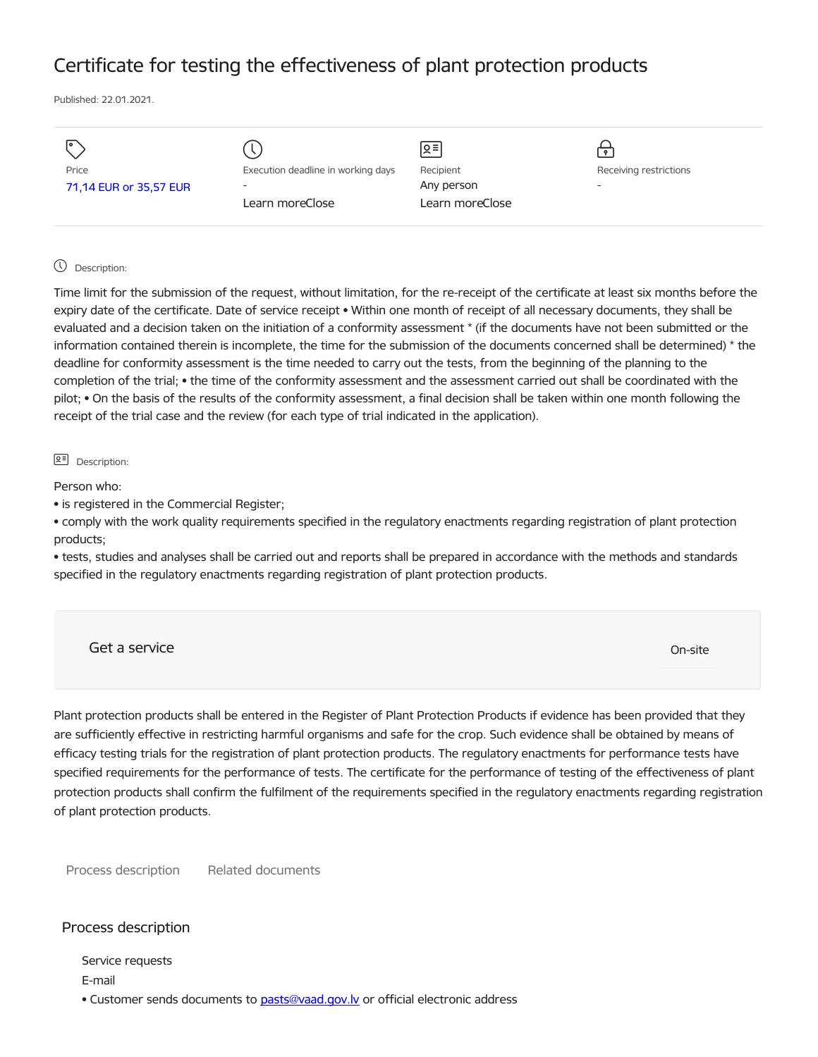# Certificate for testing the effectiveness of plant protection products

Published: 22.01.2021.

| I۰                     |                                    | Զ≡              | $\bullet$                |
|------------------------|------------------------------------|-----------------|--------------------------|
| Price                  | Execution deadline in working days | Recipient       | Receiving restrictions   |
| 71,14 EUR or 35,57 EUR | $\overline{\phantom{a}}$           | Any person      | $\overline{\phantom{0}}$ |
|                        | Learn moreClose                    | Learn moreClose |                          |
|                        |                                    |                 |                          |

### Description:

Time limit for the submission of the request, without limitation, for the re-receipt of the certificate at least six months before the expiry date of the certificate. Date of service receipt • Within one month of receipt of all necessary documents, they shall be evaluated and a decision taken on the initiation of a conformity assessment \* (if the documents have not been submitted or the information contained therein is incomplete, the time for the submission of the documents concerned shall be determined) \* the deadline for conformity assessment is the time needed to carry out the tests, from the beginning of the planning to the completion of the trial; • the time of the conformity assessment and the assessment carried out shall be coordinated with the pilot; • On the basis of the results of the conformity assessment, a final decision shall be taken within one month following the receipt of the trial case and the review (for each type of trial indicated in the application).

#### **B<sup>=</sup>** Description:

Person who:

• is registered in the Commercial Register;

• comply with the work quality requirements specified in the regulatory enactments regarding registration of plant protection products;

• tests, studies and analyses shall be carried out and reports shall be prepared in accordance with the methods and standards specified in the regulatory enactments regarding registration of plant protection products.

Get a service On-site

Plant protection products shall be entered in the Register of Plant Protection Products if evidence has been provided that they are sufficiently effective in restricting harmful organisms and safe for the crop. Such evidence shall be obtained by means of efficacy testing trials for the registration of plant protection products. The regulatory enactments for performance tests have specified requirements for the performance of tests. The certificate for the performance of testing of the effectiveness of plant protection products shall confirm the fulfilment of the requirements specified in the regulatory enactments regarding registration of plant protection products.

Process description Related documents

## Process description

Service requests

E-mail

• Customer sends documents to [pasts@vaad.gov.lv](mailto:pasts@vaad.gov.lv) or official electronic address